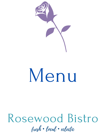

# Menu

# Rosewood Bistro fresh • local • eclectic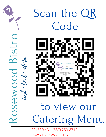

# Scan the QR Code Rosewood Bistro fresh • local • eclectic to view our Catering Menu

(403) 580 431, (587) 253-8712 www.rosewoodbistro.ca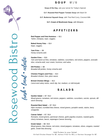

# S O U P \$7 / 12

**Soup of the Day**, ask your server for Today's Special

**G.F. Roasted Red Pepper Tomato Soup** with Basil Oil

**G.F. Butternut Squash Soup**, with Thai Red Curry, Coconut Milk

**G.F. Cream of Mushroom Soup**, with Mirepoix

# A P P E T I Z E R S

**Red Pepper and Feta Hummus** — \$11 *Tahini, chickpea, naan, veggies.*

**Baked Honey Feta** — \$14 *Naan, veggies.*

**Yam Fries** — \$9 *Honey-sriracha aioli.*

#### **Garden Fries** — \$16

*Yam and hand cut fries, tomatoes, radishes, cucumbers, red onions, peppers, avocado slice, sriracha aioli, sour cream, hummus, and salsa.*

**Dill Pickles —** \$8 *Breaded dill pickles, honey sriracha aioli*

 **Chicken Fingers and Fries** — \$14 *Breaded chicken, fries, plum sauce.*

**Brined Chicken Wings** — \$12 *Carrot and celery sticks, ranch dip, hot, medium, or mild teriyaki.*

## **SALADS**

 *Mixed greens, tomatoes, red onions, peppers, radishes, cucumbers, carrots, sprouts, dill* **Garden Salad —** \$7 / \$12 *ranch dressing.*

#### **Roasted Beet Salad** — \$7 / \$14

*Dijon mustard, crumbled feta cheese, mixed greens, pumpkin seeds, raisins, berry vinaigrette.*

#### **Caesar Salad** — \$7 / \$14

*Romaine, mixed greens, parmesan cheese, garlic-paprika croutons, roasted garlic, cherry tomatoes, bacon, asparagus-Caesar dressing.*

#### **Greek Salad** — \$8 / \$15

*Mixed greens, feta cheese, red onion, mixed peppers, tomatoes, olives, oregano, roasted garlic, Greek feta dressing.*

Add Protein to your Salad: Grilled Chicken Breast for \$7, Salmon Fillet for \$12, or German Sausage for \$7.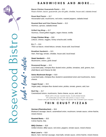![](_page_3_Picture_0.jpeg)

# SANDWICHES AND MORE...

**Bacon Chicken Guacamole Panini** — \$18 *Roast chicken, bacon, guacamole, pico de gallo, cheddar, house aioli, ciabatta bread.*

**Roast Beef Panini** — \$17 *Horseradish aioli, mushrooms, red onion, roasted peppers, ciabatta bread.*

**Roasted Beet and Feta Cheese Panini** — \$15 *Hummus, sprouts, ciabatta bread.*

**Grilled Veg Wrap —** \$17 *Hummus, mixed grilled veggies, vegan cheese, tortilla.*

**Crispy Chicken Wrap** — \$18 *Lettuce, cheese, veggies, honey sriracha aioli, tortilla.*

**B.L.T** — \$16 *Thick cut bacon, mixed lettuce, tomato, house aioli, local bread.*

**Breakfast Sandwich** — \$15 *Ham, fried egg, tomato, cheddar, house aioli, local bread.*

**Steak Sandwich** — \$19 *Mushrooms, onions, garlic bread*

**Rosewood Burger** — \$15 *Local beef patty, chickpea flour dusted onion, pickles, tomatoes, aioli, greens, bun. (Add Bacon and Cheese for \$4)*

**Swiss Mushroom Burger —** \$19 *Local beef patty, chickpea flour dusted & caramelized onion and mushrooms, Swiss cheese.*

**Veggie Burger** — \$15 *Vegan patty, chickpea flour dusted onion, pickles, tomato, greens, aioli, bun*

**Beef Dip** — \$17 C*aramelized onions, mushrooms, Swiss cheese, au jus, aioli, bun* Made with in-house roasted meats, locally baked bread.

All sandwiches served with side salad or soup or fries. Caesar and yam fries \$2 extra. Vegan and gluten free available upon request.

# THIN CRUST PIZZAS

**German (Flammkuchen)** — \$16

*Bratwurst sausage, bacon, caramelized onion, mushroom, tomato sauce, crème fraiche, mixed cheese.*

**Roasted Beets** — \$15 C*rème fraiche, feta.*

**BBQ Chicken** — \$18 *Grilled chicken, BBQ sauce, red onion, peppers, tomato sauce, mixed cheese.*

**Meat Lover's** — \$19 *Bacon, ham, German sausage, meat balls, tomato sauce, crème fraiche, mixed cheese.*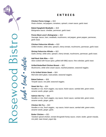![](_page_4_Picture_0.jpeg)

# E N T R E E S

**Chicken Penne Asiago —** \$19 *Pesto chicken, red peppers, tomatoes, spinach, cream sauce, garlic toast.*

**Baked Spaghetti Meatballs —** \$19 *Bolognaise sauce, cheddar, parmesan, garlic toast.*

**Penne Meat Lover's Bolognaise —** \$22 *Sausage, bacon, ham, meatballs, mushrooms, red pepper, green pepper, parmesan, garlic toast.*

**Chicken Fettuccine Alfredo —** \$19 *Grilled chicken, white wine, spinach, cherry tomato, mushrooms, parmesan, garlic toast.*

**Shrimp Fettuccine Alfredo —** \$22 *Garlic shrimp, white wine, spinach, cherry tomato, mushrooms, parmesan, garlic toast.*

**Half Rack Side Ribs —** \$20 *Slow cooked with house spice, grilled with BBQ sauce, fries coleslaw, garlic toast.*

**Grilled Butterflied Chicken Breast** *—* \$22 *Mushrooms, white wine cream sauce, mashed potatoes, seasonal veggies.*

**6 Oz Grilled Sirloin Steak** — \$24 *Red wine demi glaze, roast potato, seasonal veggies.*

**Baked Salmon** — \$26 *Teriyaki sauce, rice pilaf, seasonal veggies.*

**Steak Stir Fry** — \$24 *Noodles or rice, fresh veggies, soy sauce, hoisin sauce, sambal olek, green onion, sesame seeds, ginger, garlic.*

**Salmon Stir Fry** — \$26 *Noodles or rice, fresh veggies, soy sauce, hoisin sauce, sambal olek, green onion, sesame seeds, ginger, garlic.*

**Chicken Stir Fry** — \$22

*Noodles or rice, fresh veggies, soy sauce, hoisin sauce, sambal olek, green onion, sesame seeds, ginger, garlic.*

#### **Butter Chicken —** \$21

*Tandoori spiced chicken, tomato-fenugreek-honey sauce, cream, butter, garam masala, rice pilaf, naan bread, yogurt dip.*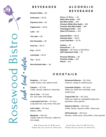![](_page_5_Picture_0.jpeg)

### B E V E R A G E S

**Brewed Coffee —** \$3 **Americano —** \$3.25 **Espresso shot —** \$3 **Cappuccino —** \$4.50 **Latte —** \$6 **Tea Latte —** \$6 **Hot Chocolate —** \$5 **Iced Tea —** \$3.75 **Pop —** \$3.25 **Lemonade —** \$3.25 **Tea —** \$3.25 **BEVERAGES Glass of Wine** — \$9 **White Wine bottle** — \$36 **Red Wine bottle** — \$40 **Premium White Wine bottle** — \$50 **Premium Red Wine bottle** — \$60 **Champagne bottle** — \$49 **Glass of Prosecco** — \$10 **Imported Beer —** \$8.00 **Domestic Beer** — \$5.50 **Local Craft Beer** — \$7.50 **Coolers** — \$7 **Smirnoff Ice** — \$7 **Highballs —** \$5.75/1oz or \$10.50/2oz **Hell's Basement Cider** — \$7 **Premium Whiskey** — \$8 **Premium Vodka** — \$10 **Patron** — \$11

**COCKTAILS** 

**Paralyzer** — \$7 (1oz) *Vodka, Kahlua, cola, splash of milk.*

**Non-Alcoholic Beer** — \$4

**Caesars** — \$7 (1oz) *Vodka, clamato, salted rim, seasoning.*

**Gin & Tonic** — \$7 (1oz) *Gin, tonic water, lime wedge.*

**Long Island Iced Tea** — \$7 (1oz) *Long island mix, cola, lemon, lime juice.*

**Irish Coffee** — \$7 (1oz) *Baileys, coffee.*

**Margarita** — \$9 (1oz) Tequila, triple sec, lime juice, salted rim, lime wedge.

Milk alternatives for \$1.00 extra Please ask your server for selections. **Rosewood Mimosa** — \$11 (3oz) *Prosecco, orange & cranberry juice.*

**ALCOHOLIC** 

**Lemonade Sangria** — \$11 (2oz) *White rum, white wine, lemonade, soda, simple syrup.*

**Tropical Mai Tai** — \$11 (2oz) *White rum, triple sec, pineapple/orange juice, grenadine, cherry garnish.*

**Espresso Martini** — \$12 (1oz) *Vodka, Kahlua, espresso coffee, 1tbsp syrup*

**Old Fashioned** — \$10 (1oz) *Bourbon, vanilla syrup, cherry bitters, cherry garnish.*

House flavor shots for \$0.75 extra Please ask your server for selections.